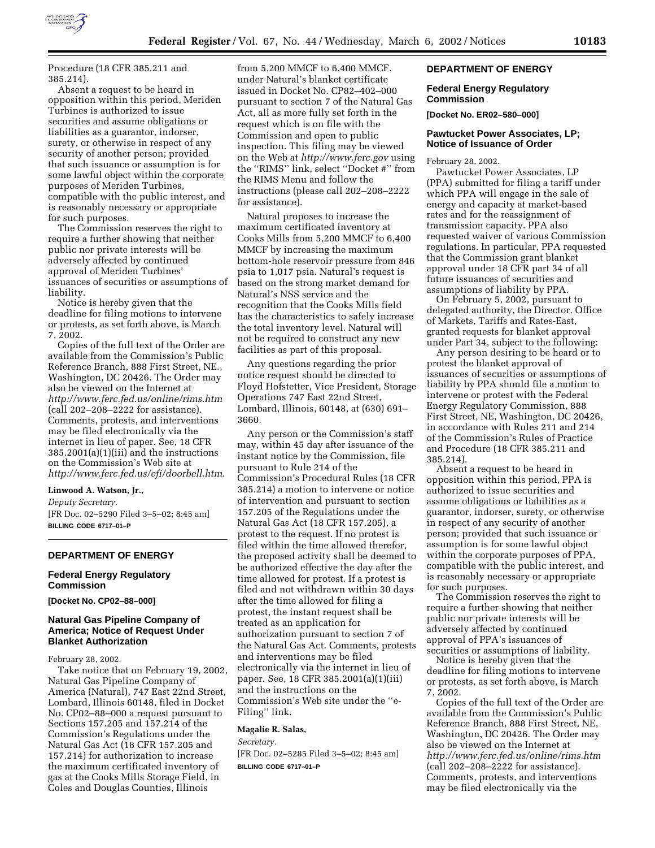

Procedure (18 CFR 385.211 and 385.214).

Absent a request to be heard in opposition within this period, Meriden Turbines is authorized to issue securities and assume obligations or liabilities as a guarantor, indorser, surety, or otherwise in respect of any security of another person; provided that such issuance or assumption is for some lawful object within the corporate purposes of Meriden Turbines, compatible with the public interest, and is reasonably necessary or appropriate for such purposes.

The Commission reserves the right to require a further showing that neither public nor private interests will be adversely affected by continued approval of Meriden Turbines' issuances of securities or assumptions of liability.

Notice is hereby given that the deadline for filing motions to intervene or protests, as set forth above, is March 7, 2002.

Copies of the full text of the Order are available from the Commission's Public Reference Branch, 888 First Street, NE., Washington, DC 20426. The Order may also be viewed on the Internet at *http://www.ferc.fed.us/online/rims.htm* (call 202–208–2222 for assistance). Comments, protests, and interventions may be filed electronically via the internet in lieu of paper. See, 18 CFR 385.2001(a)(1)(iii) and the instructions on the Commission's Web site at *http://www.ferc.fed.us/efi/doorbell.htm*.

#### **Linwood A. Watson, Jr.,**

*Deputy Secretary.* [FR Doc. 02–5290 Filed 3–5–02; 8:45 am] **BILLING CODE 6717–01–P**

# **DEPARTMENT OF ENERGY**

# **Federal Energy Regulatory Commission**

**[Docket No. CP02–88–000]**

# **Natural Gas Pipeline Company of America; Notice of Request Under Blanket Authorization**

February 28, 2002.

Take notice that on February 19, 2002, Natural Gas Pipeline Company of America (Natural), 747 East 22nd Street, Lombard, Illinois 60148, filed in Docket No. CP02–88–000 a request pursuant to Sections 157.205 and 157.214 of the Commission's Regulations under the Natural Gas Act (18 CFR 157.205 and 157.214) for authorization to increase the maximum certificated inventory of gas at the Cooks Mills Storage Field, in Coles and Douglas Counties, Illinois

from 5,200 MMCF to 6,400 MMCF, under Natural's blanket certificate issued in Docket No. CP82–402–000 pursuant to section 7 of the Natural Gas Act, all as more fully set forth in the request which is on file with the Commission and open to public inspection. This filing may be viewed on the Web at *http://www.ferc.gov* using the ''RIMS'' link, select ''Docket #'' from the RIMS Menu and follow the instructions (please call 202–208–2222 for assistance).

Natural proposes to increase the maximum certificated inventory at Cooks Mills from 5,200 MMCF to 6,400 MMCF by increasing the maximum bottom-hole reservoir pressure from 846 psia to 1,017 psia. Natural's request is based on the strong market demand for Natural's NSS service and the recognition that the Cooks Mills field has the characteristics to safely increase the total inventory level. Natural will not be required to construct any new facilities as part of this proposal.

Any questions regarding the prior notice request should be directed to Floyd Hofstetter, Vice President, Storage Operations 747 East 22nd Street, Lombard, Illinois, 60148, at (630) 691– 3660.

Any person or the Commission's staff may, within 45 day after issuance of the instant notice by the Commission, file pursuant to Rule 214 of the Commission's Procedural Rules (18 CFR 385.214) a motion to intervene or notice of intervention and pursuant to section 157.205 of the Regulations under the Natural Gas Act (18 CFR 157.205), a protest to the request. If no protest is filed within the time allowed therefor, the proposed activity shall be deemed to be authorized effective the day after the time allowed for protest. If a protest is filed and not withdrawn within 30 days after the time allowed for filing a protest, the instant request shall be treated as an application for authorization pursuant to section 7 of the Natural Gas Act. Comments, protests and interventions may be filed electronically via the internet in lieu of paper. See, 18 CFR 385.2001(a)(1)(iii) and the instructions on the Commission's Web site under the ''e-Filing'' link.

#### **Magalie R. Salas,**

*Secretary.*

[FR Doc. 02–5285 Filed 3–5–02; 8:45 am] **BILLING CODE 6717–01–P**

# **DEPARTMENT OF ENERGY**

## **Federal Energy Regulatory Commission**

**[Docket No. ER02–580–000]**

## **Pawtucket Power Associates, LP; Notice of Issuance of Order**

February 28, 2002.

Pawtucket Power Associates, LP (PPA) submitted for filing a tariff under which PPA will engage in the sale of energy and capacity at market-based rates and for the reassignment of transmission capacity. PPA also requested waiver of various Commission regulations. In particular, PPA requested that the Commission grant blanket approval under 18 CFR part 34 of all future issuances of securities and assumptions of liability by PPA.

On February 5, 2002, pursuant to delegated authority, the Director, Office of Markets, Tariffs and Rates-East, granted requests for blanket approval under Part 34, subject to the following:

Any person desiring to be heard or to protest the blanket approval of issuances of securities or assumptions of liability by PPA should file a motion to intervene or protest with the Federal Energy Regulatory Commission, 888 First Street, NE, Washington, DC 20426, in accordance with Rules 211 and 214 of the Commission's Rules of Practice and Procedure (18 CFR 385.211 and 385.214).

Absent a request to be heard in opposition within this period, PPA is authorized to issue securities and assume obligations or liabilities as a guarantor, indorser, surety, or otherwise in respect of any security of another person; provided that such issuance or assumption is for some lawful object within the corporate purposes of PPA, compatible with the public interest, and is reasonably necessary or appropriate for such purposes.

The Commission reserves the right to require a further showing that neither public nor private interests will be adversely affected by continued approval of PPA's issuances of securities or assumptions of liability.

Notice is hereby given that the deadline for filing motions to intervene or protests, as set forth above, is March 7, 2002.

Copies of the full text of the Order are available from the Commission's Public Reference Branch, 888 First Street, NE, Washington, DC 20426. The Order may also be viewed on the Internet at *http://www.ferc.fed.us/online/rims.htm* (call 202–208–2222 for assistance). Comments, protests, and interventions may be filed electronically via the